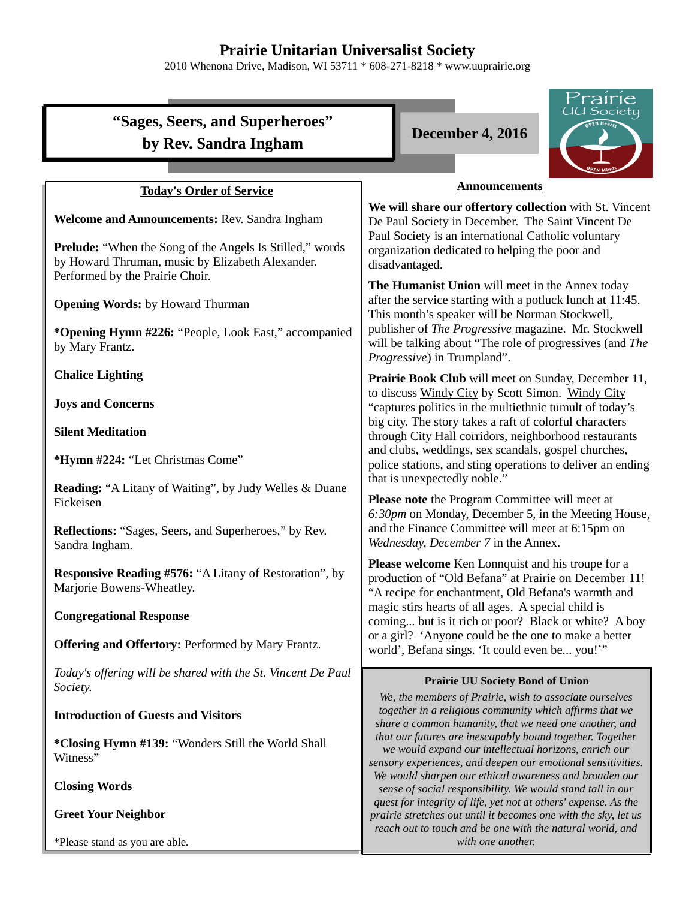# **Prairie Unitarian Universalist Society**

2010 Whenona Drive, Madison, WI 53711 \* 608-271-8218 \* www.uuprairie.org